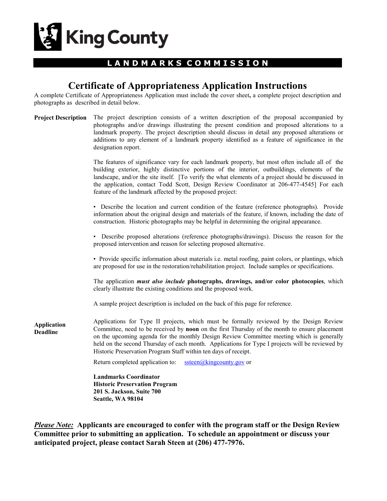

## **L A N D M A R K S C O M M I S S I O N**

# **Certificate of Appropriateness Application Instructions**

A complete Certificate of Appropriateness Application must include the cover sheet**,** a complete project description and photographs as described in detail below.

| <b>Project Description</b> The project description consists of a written description of the proposal accompanied by |
|---------------------------------------------------------------------------------------------------------------------|
| photographs and/or drawings illustrating the present condition and proposed alterations to a                        |
| landmark property. The project description should discuss in detail any proposed alterations or                     |
| additions to any element of a landmark property identified as a feature of significance in the                      |
| designation report.                                                                                                 |
|                                                                                                                     |

The features of significance vary for each landmark property, but most often include all of the building exterior, highly distinctive portions of the interior, outbuildings, elements of the landscape, and/or the site itself. [To verify the what elements of a project should be discussed in the application, contact Todd Scott, Design Review Coordinator at 206-477-4545] For each feature of the landmark affected by the proposed project:

• Describe the location and current condition of the feature (reference photographs). Provide information about the original design and materials of the feature, if known, including the date of construction. Historic photographs may be helpful in determining the original appearance.

• Describe proposed alterations (reference photographs/drawings). Discuss the reason for the proposed intervention and reason for selecting proposed alternative.

• Provide specific information about materials i.e. metal roofing, paint colors, or plantings, which are proposed for use in the restoration/rehabilitation project. Include samples or specifications.

The application *must also include* **photographs, drawings, and/or color photocopies**, which clearly illustrate the existing conditions and the proposed work.

A sample project description is included on the back of this page for reference.

**Application Deadline**

Applications for Type II projects, which must be formally reviewed by the Design Review Committee, need to be received by **noon** on the first Thursday of the month to ensure placement on the upcoming agenda for the monthly Design Review Committee meeting which is generally held on the second Thursday of each month. Applications for Type I projects will be reviewed by Historic Preservation Program Staff within ten days of receipt.

Return completed application to:  $\frac{\text{steen}(a)\text{king} \text{county.gov}}{\text{sqrt}}$ 

**Landmarks Coordinator Historic Preservation Program 201 S. Jackson, Suite 700 Seattle, WA 98104**

*Please Note:* **Applicants are encouraged to confer with the program staff or the Design Review Committee prior to submitting an application. To schedule an appointment or discuss your anticipated project, please contact Sarah Steen at (206) 477-7976.**